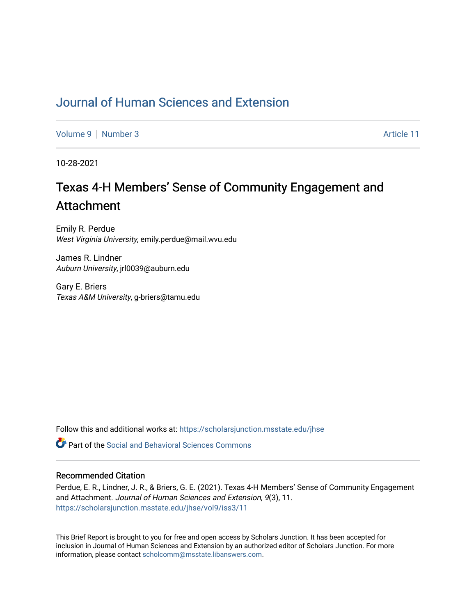## [Journal of Human Sciences and Extension](https://scholarsjunction.msstate.edu/jhse)

[Volume 9](https://scholarsjunction.msstate.edu/jhse/vol9) | [Number 3](https://scholarsjunction.msstate.edu/jhse/vol9/iss3) Article 11

10-28-2021

# Texas 4-H Members' Sense of Community Engagement and Attachment

Emily R. Perdue West Virginia University, emily.perdue@mail.wvu.edu

James R. Lindner Auburn University, jrl0039@auburn.edu

Gary E. Briers Texas A&M University, g-briers@tamu.edu

Follow this and additional works at: [https://scholarsjunction.msstate.edu/jhse](https://scholarsjunction.msstate.edu/jhse?utm_source=scholarsjunction.msstate.edu%2Fjhse%2Fvol9%2Fiss3%2F11&utm_medium=PDF&utm_campaign=PDFCoverPages)

 $\bullet$  Part of the Social and Behavioral Sciences Commons

#### Recommended Citation

Perdue, E. R., Lindner, J. R., & Briers, G. E. (2021). Texas 4-H Members' Sense of Community Engagement and Attachment. Journal of Human Sciences and Extension, 9(3), 11. [https://scholarsjunction.msstate.edu/jhse/vol9/iss3/11](https://scholarsjunction.msstate.edu/jhse/vol9/iss3/11?utm_source=scholarsjunction.msstate.edu%2Fjhse%2Fvol9%2Fiss3%2F11&utm_medium=PDF&utm_campaign=PDFCoverPages) 

This Brief Report is brought to you for free and open access by Scholars Junction. It has been accepted for inclusion in Journal of Human Sciences and Extension by an authorized editor of Scholars Junction. For more information, please contact [scholcomm@msstate.libanswers.com](mailto:scholcomm@msstate.libanswers.com).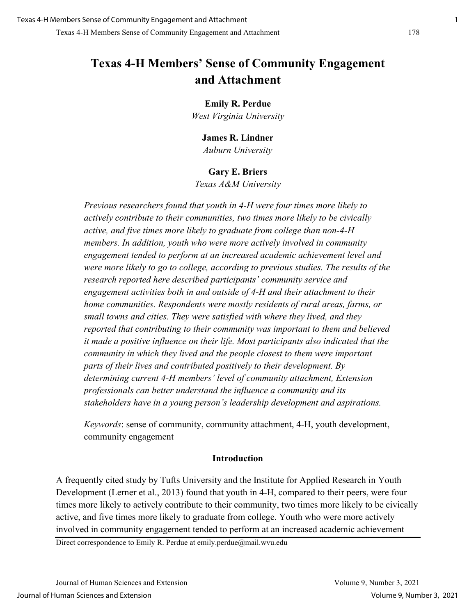## **Texas 4-H Members' Sense of Community Engagement and Attachment**

## **Emily R. Perdue**

*West Virginia University*

## **James R. Lindner**

*Auburn University* 

## **Gary E. Briers**

*Texas A&M University* 

*Previous researchers found that youth in 4-H were four times more likely to actively contribute to their communities, two times more likely to be civically active, and five times more likely to graduate from college than non-4-H members. In addition, youth who were more actively involved in community engagement tended to perform at an increased academic achievement level and were more likely to go to college, according to previous studies. The results of the research reported here described participants' community service and engagement activities both in and outside of 4-H and their attachment to their home communities. Respondents were mostly residents of rural areas, farms, or small towns and cities. They were satisfied with where they lived, and they reported that contributing to their community was important to them and believed it made a positive influence on their life. Most participants also indicated that the community in which they lived and the people closest to them were important parts of their lives and contributed positively to their development. By determining current 4-H members' level of community attachment, Extension professionals can better understand the influence a community and its stakeholders have in a young person's leadership development and aspirations.* 

*Keywords*: sense of community, community attachment, 4-H, youth development, community engagement

## **Introduction**

A frequently cited study by Tufts University and the Institute for Applied Research in Youth Development (Lerner et al., 2013) found that youth in 4-H, compared to their peers, were four times more likely to actively contribute to their community, two times more likely to be civically active, and five times more likely to graduate from college. Youth who were more actively involved in community engagement tended to perform at an increased academic achievement

Direct correspondence to Emily R. Perdue at emily.perdue@mail.wvu.edu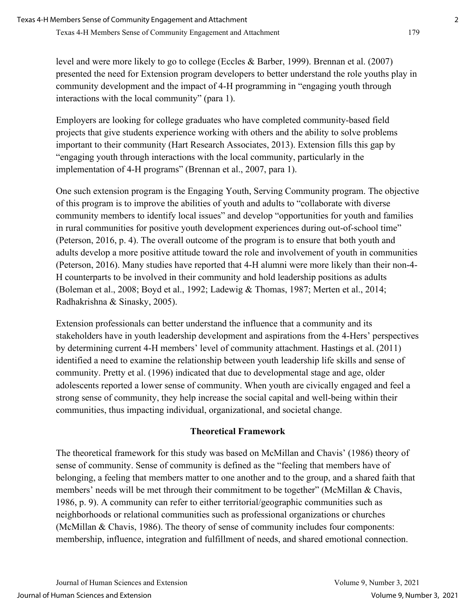level and were more likely to go to college (Eccles & Barber, 1999). Brennan et al. (2007) presented the need for Extension program developers to better understand the role youths play in community development and the impact of 4-H programming in "engaging youth through interactions with the local community" (para 1).

Employers are looking for college graduates who have completed community-based field projects that give students experience working with others and the ability to solve problems important to their community (Hart Research Associates, 2013). Extension fills this gap by "engaging youth through interactions with the local community, particularly in the implementation of 4-H programs" (Brennan et al., 2007, para 1).

One such extension program is the Engaging Youth, Serving Community program. The objective of this program is to improve the abilities of youth and adults to "collaborate with diverse community members to identify local issues" and develop "opportunities for youth and families in rural communities for positive youth development experiences during out-of-school time" (Peterson, 2016, p. 4). The overall outcome of the program is to ensure that both youth and adults develop a more positive attitude toward the role and involvement of youth in communities (Peterson, 2016). Many studies have reported that 4-H alumni were more likely than their non-4- H counterparts to be involved in their community and hold leadership positions as adults (Boleman et al., 2008; Boyd et al., 1992; Ladewig & Thomas, 1987; Merten et al., 2014; Radhakrishna & Sinasky, 2005).

Extension professionals can better understand the influence that a community and its stakeholders have in youth leadership development and aspirations from the 4-Hers' perspectives by determining current 4-H members' level of community attachment. Hastings et al. (2011) identified a need to examine the relationship between youth leadership life skills and sense of community. Pretty et al. (1996) indicated that due to developmental stage and age, older adolescents reported a lower sense of community. When youth are civically engaged and feel a strong sense of community, they help increase the social capital and well-being within their communities, thus impacting individual, organizational, and societal change.

## **Theoretical Framework**

The theoretical framework for this study was based on McMillan and Chavis' (1986) theory of sense of community. Sense of community is defined as the "feeling that members have of belonging, a feeling that members matter to one another and to the group, and a shared faith that members' needs will be met through their commitment to be together" (McMillan & Chavis, 1986, p. 9). A community can refer to either territorial/geographic communities such as neighborhoods or relational communities such as professional organizations or churches (McMillan & Chavis, 1986). The theory of sense of community includes four components: membership, influence, integration and fulfillment of needs, and shared emotional connection.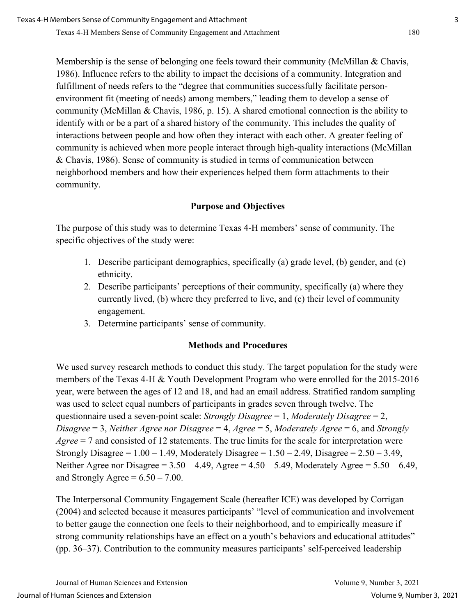Membership is the sense of belonging one feels toward their community (McMillan & Chavis, 1986). Influence refers to the ability to impact the decisions of a community. Integration and fulfillment of needs refers to the "degree that communities successfully facilitate personenvironment fit (meeting of needs) among members," leading them to develop a sense of community (McMillan & Chavis, 1986, p. 15). A shared emotional connection is the ability to identify with or be a part of a shared history of the community. This includes the quality of interactions between people and how often they interact with each other. A greater feeling of community is achieved when more people interact through high-quality interactions (McMillan & Chavis, 1986). Sense of community is studied in terms of communication between neighborhood members and how their experiences helped them form attachments to their community.

## **Purpose and Objectives**

The purpose of this study was to determine Texas 4-H members' sense of community. The specific objectives of the study were:

- 1. Describe participant demographics, specifically (a) grade level, (b) gender, and (c) ethnicity.
- 2. Describe participants' perceptions of their community, specifically (a) where they currently lived, (b) where they preferred to live, and (c) their level of community engagement.
- 3. Determine participants' sense of community.

## **Methods and Procedures**

We used survey research methods to conduct this study. The target population for the study were members of the Texas 4-H & Youth Development Program who were enrolled for the 2015-2016 year, were between the ages of 12 and 18, and had an email address. Stratified random sampling was used to select equal numbers of participants in grades seven through twelve. The questionnaire used a seven-point scale: *Strongly Disagree* = 1, *Moderately Disagree* = 2, *Disagree* = 3, *Neither Agree nor Disagree* = 4, *Agree* = 5, *Moderately Agree* = 6, and *Strongly Agree* = 7 and consisted of 12 statements. The true limits for the scale for interpretation were Strongly Disagree =  $1.00 - 1.49$ , Moderately Disagree =  $1.50 - 2.49$ , Disagree =  $2.50 - 3.49$ , Neither Agree nor Disagree =  $3.50 - 4.49$ , Agree =  $4.50 - 5.49$ , Moderately Agree =  $5.50 - 6.49$ , and Strongly Agree =  $6.50 - 7.00$ .

The Interpersonal Community Engagement Scale (hereafter ICE) was developed by Corrigan (2004) and selected because it measures participants' "level of communication and involvement to better gauge the connection one feels to their neighborhood, and to empirically measure if strong community relationships have an effect on a youth's behaviors and educational attitudes" (pp. 36–37). Contribution to the community measures participants' self-perceived leadership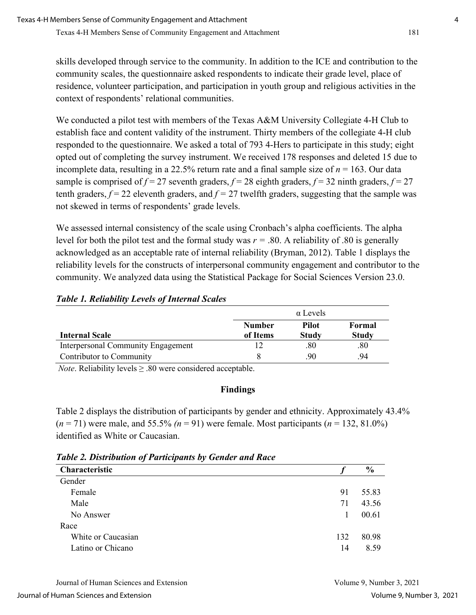skills developed through service to the community. In addition to the ICE and contribution to the community scales, the questionnaire asked respondents to indicate their grade level, place of residence, volunteer participation, and participation in youth group and religious activities in the context of respondents' relational communities.

We conducted a pilot test with members of the Texas A&M University Collegiate 4-H Club to establish face and content validity of the instrument. Thirty members of the collegiate 4-H club responded to the questionnaire. We asked a total of 793 4-Hers to participate in this study; eight opted out of completing the survey instrument. We received 178 responses and deleted 15 due to incomplete data, resulting in a 22.5% return rate and a final sample size of *n* = 163. Our data sample is comprised of  $f = 27$  seventh graders,  $f = 28$  eighth graders,  $f = 32$  ninth graders,  $f = 27$ tenth graders,  $f = 22$  eleventh graders, and  $f = 27$  twelfth graders, suggesting that the sample was not skewed in terms of respondents' grade levels.

We assessed internal consistency of the scale using Cronbach's alpha coefficients. The alpha level for both the pilot test and the formal study was  $r = .80$ . A reliability of  $.80$  is generally acknowledged as an acceptable rate of internal reliability (Bryman, 2012). Table 1 displays the reliability levels for the constructs of interpersonal community engagement and contributor to the community. We analyzed data using the Statistical Package for Social Sciences Version 23.0.

|                                    |               | $\alpha$ Levels |              |
|------------------------------------|---------------|-----------------|--------------|
|                                    | <b>Number</b> | <b>Pilot</b>    | Formal       |
| <b>Internal Scale</b>              | of Items      | Study           | <b>Study</b> |
| Interpersonal Community Engagement |               | .80             | .80          |
| Contributor to Community           |               | .90             | 94           |

## *Table 1. Reliability Levels of Internal Scales*

*Note*. Reliability levels  $\geq .80$  were considered acceptable.

## **Findings**

Table 2 displays the distribution of participants by gender and ethnicity. Approximately 43.4%  $(n = 71)$  were male, and 55.5%  $(n = 91)$  were female. Most participants  $(n = 132, 81.0\%)$ identified as White or Caucasian.

*Table 2. Distribution of Participants by Gender and Race* 

| Characteristic     |              | $\frac{6}{9}$ |
|--------------------|--------------|---------------|
| Gender             |              |               |
| Female             | 91           | 55.83         |
| Male               | 71           | 43.56         |
| No Answer          | $\mathbf{L}$ | 00.61         |
| Race               |              |               |
| White or Caucasian | 132          | 80.98         |
| Latino or Chicano  | 14           | 8.59          |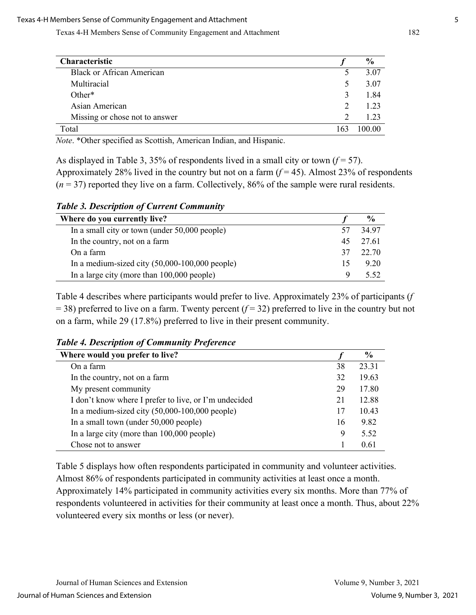Texas 4-H Members Sense of Community Engagement and Attachment 182

| <b>Characteristic</b>            |                             | $\frac{6}{9}$ |
|----------------------------------|-----------------------------|---------------|
| <b>Black or African American</b> |                             | 3.07          |
| Multiracial                      |                             | 3.07          |
| $Other*$                         | 3                           | 1.84          |
| Asian American                   | $\mathcal{D}_{\mathcal{L}}$ | 1.23          |
| Missing or chose not to answer   |                             | 1.23          |
| Total                            |                             | 100.00        |

*Note*. \*Other specified as Scottish, American Indian, and Hispanic.

As displayed in Table 3, 35% of respondents lived in a small city or town  $(f = 57)$ . Approximately 28% lived in the country but not on a farm  $(f = 45)$ . Almost 23% of respondents  $(n = 37)$  reported they live on a farm. Collectively, 86% of the sample were rural residents.

*Table 3. Description of Current Community*

| Where do you currently live?                     |    | $\frac{6}{9}$ |
|--------------------------------------------------|----|---------------|
| In a small city or town (under 50,000 people)    |    | 34.97         |
| In the country, not on a farm                    | 45 | 27.61         |
| On a farm                                        | 37 | 22.70         |
| In a medium-sized city $(50,000-100,000$ people) | 15 | 9.20          |
| In a large city (more than $100,000$ people)     | Q  | 5.52          |

Table 4 describes where participants would prefer to live. Approximately 23% of participants (*f*   $=$  38) preferred to live on a farm. Twenty percent ( $f = 32$ ) preferred to live in the country but not on a farm, while 29 (17.8%) preferred to live in their present community.

| <b>Table 4. Description of Community Preference</b> |  |  |
|-----------------------------------------------------|--|--|
|                                                     |  |  |

| Where would you prefer to live?                       |    | $\frac{6}{9}$ |
|-------------------------------------------------------|----|---------------|
| On a farm                                             | 38 | 23.31         |
| In the country, not on a farm                         | 32 | 19.63         |
| My present community                                  | 29 | 17.80         |
| I don't know where I prefer to live, or I'm undecided | 21 | 12.88         |
| In a medium-sized city $(50,000-100,000$ people)      | 17 | 10.43         |
| In a small town (under 50,000 people)                 | 16 | 9.82          |
| In a large city (more than 100,000 people)            | 9  | 5.52          |
| Chose not to answer                                   |    | 0.61          |

Table 5 displays how often respondents participated in community and volunteer activities. Almost 86% of respondents participated in community activities at least once a month. Approximately 14% participated in community activities every six months. More than 77% of respondents volunteered in activities for their community at least once a month. Thus, about 22% volunteered every six months or less (or never).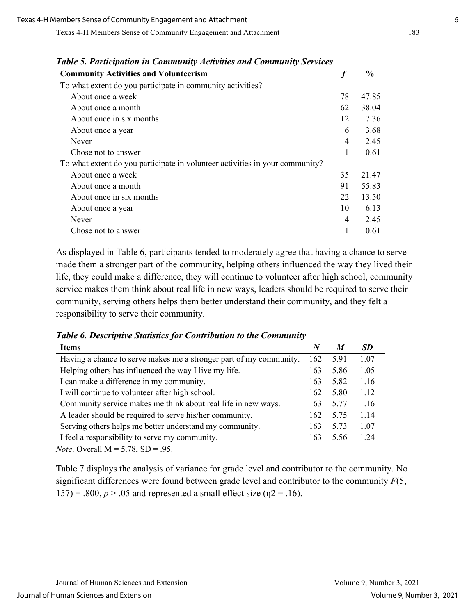| <b>Community Activities and Volunteerism</b>                                 |    | $\frac{0}{0}$ |
|------------------------------------------------------------------------------|----|---------------|
| To what extent do you participate in community activities?                   |    |               |
| About once a week                                                            | 78 | 47.85         |
| About once a month                                                           | 62 | 38.04         |
| About once in six months                                                     | 12 | 7.36          |
| About once a year                                                            | 6  | 3.68          |
| Never                                                                        | 4  | 2.45          |
| Chose not to answer                                                          | 1  | 0.61          |
| To what extent do you participate in volunteer activities in your community? |    |               |
| About once a week                                                            | 35 | 21.47         |
| About once a month                                                           | 91 | 55.83         |
| About once in six months                                                     | 22 | 13.50         |
| About once a year                                                            | 10 | 6.13          |
| Never                                                                        | 4  | 2.45          |
| Chose not to answer                                                          |    | 0.61          |

*Table 5. Participation in Community Activities and Community Services*

As displayed in Table 6, participants tended to moderately agree that having a chance to serve made them a stronger part of the community, helping others influenced the way they lived their life, they could make a difference, they will continue to volunteer after high school, community service makes them think about real life in new ways, leaders should be required to serve their community, serving others helps them better understand their community, and they felt a responsibility to serve their community.

*Table 6. Descriptive Statistics for Contribution to the Community*

| <b>Items</b>                                                       | N   | M    | <b>SD</b> |
|--------------------------------------------------------------------|-----|------|-----------|
| Having a chance to serve makes me a stronger part of my community. | 162 | 5.91 | 1.07      |
| Helping others has influenced the way I live my life.              | 163 | 5.86 | 1.05      |
| I can make a difference in my community.                           | 163 | 5.82 | 1.16      |
| I will continue to volunteer after high school.                    | 162 | 5.80 | 1.12      |
| Community service makes me think about real life in new ways.      | 163 | 5.77 | 1.16      |
| A leader should be required to serve his/her community.            | 162 | 5.75 | 1.14      |
| Serving others helps me better understand my community.            | 163 | 5.73 | 1.07      |
| I feel a responsibility to serve my community.                     | 163 | 5.56 | 1.24      |

*Note*. Overall  $M = 5.78$ ,  $SD = .95$ .

Table 7 displays the analysis of variance for grade level and contributor to the community. No significant differences were found between grade level and contributor to the community *F*(5,  $157$ ) = .800,  $p > .05$  and represented a small effect size ( $p$ 2 = .16).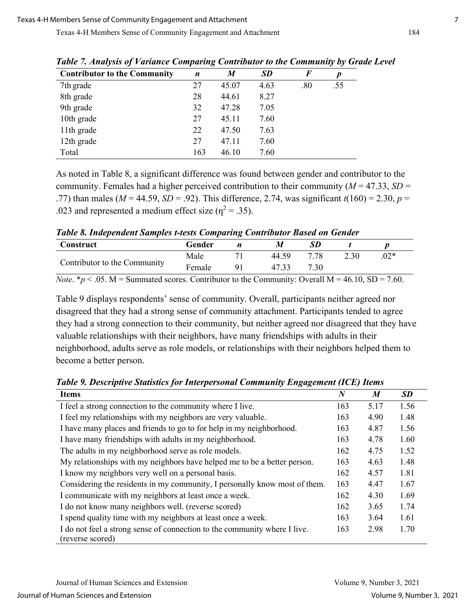| .,                                  |     | $\cdot$ |           |     | $\mathbf{v}$ $\mathbf{v}$ |  |
|-------------------------------------|-----|---------|-----------|-----|---------------------------|--|
| <b>Contributor to the Community</b> | n   | M       | <b>SD</b> | F   | p                         |  |
| 7th grade                           | 27  | 45.07   | 4.63      | .80 | .55                       |  |
| 8th grade                           | 28  | 44.61   | 8.27      |     |                           |  |
| 9th grade                           | 32  | 47.28   | 7.05      |     |                           |  |
| 10th grade                          | 27  | 45.11   | 7.60      |     |                           |  |
| 11th grade                          | 22  | 47.50   | 7.63      |     |                           |  |
| 12th grade                          | 27  | 47.11   | 7.60      |     |                           |  |
| Total                               | 163 | 46.10   | 7.60      |     |                           |  |

*Table 7. Analysis of Variance Comparing Contributor to the Community by Grade Level* 

As noted in Table 8, a significant difference was found between gender and contributor to the community. Females had a higher perceived contribution to their community ( $M = 47.33$ ,  $SD =$ .77) than males ( $M = 44.59$ ,  $SD = .92$ ). This difference, 2.74, was significant  $t(160) = 2.30$ ,  $p =$ .023 and represented a medium effect size ( $\eta^2$  = .35).

*Table 8. Independent Samples t-tests Comparing Contributor Based on Gender* 

| Construct                    | Gender |                | M     |      |      |        |  |
|------------------------------|--------|----------------|-------|------|------|--------|--|
| Contributor to the Community | Male   |                | 44.59 | 7.78 | 2.30 | $.02*$ |  |
|                              | Female | Q <sub>1</sub> | 47.33 | 7.30 |      |        |  |
|                              |        |                |       |      |      |        |  |

*Note*.  $* p < .05$ . M = Summated scores. Contributor to the Community: Overall M = 46.10, SD = 7.60.

Table 9 displays respondents' sense of community. Overall, participants neither agreed nor disagreed that they had a strong sense of community attachment. Participants tended to agree they had a strong connection to their community, but neither agreed nor disagreed that they have valuable relationships with their neighbors, have many friendships with adults in their neighborhood, adults serve as role models, or relationships with their neighbors helped them to become a better person.

*Table 9. Descriptive Statistics for Interpersonal Community Engagement (ICE) Items*

| <b>Items</b>                                                               | $\boldsymbol{N}$ | M    | <b>SD</b> |
|----------------------------------------------------------------------------|------------------|------|-----------|
| I feel a strong connection to the community where I live.                  | 163              | 5.17 | 1.56      |
| I feel my relationships with my neighbors are very valuable.               | 163              | 4.90 | 1.48      |
| I have many places and friends to go to for help in my neighborhood.       | 163              | 4.87 | 1.56      |
| I have many friendships with adults in my neighborhood.                    | 163              | 4.78 | 1.60      |
| The adults in my neighborhood serve as role models.                        | 162              | 4.75 | 1.52      |
| My relationships with my neighbors have helped me to be a better person.   | 163              | 4.63 | 1.48      |
| I know my neighbors very well on a personal basis.                         | 162              | 4.57 | 1.81      |
| Considering the residents in my community, I personally know most of them. | 163              | 4.47 | 1.67      |
| I communicate with my neighbors at least once a week.                      | 162              | 4.30 | 1.69      |
| I do not know many neighbors well. (reverse scored)                        | 162              | 3.65 | 1.74      |
| I spend quality time with my neighbors at least once a week.               | 163              | 3.64 | 1.61      |
| I do not feel a strong sense of connection to the community where I live.  | 163              | 2.98 | 1.70      |
| (reverse scored)                                                           |                  |      |           |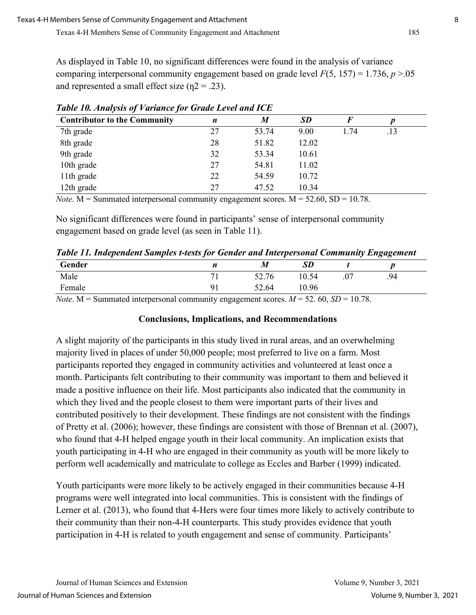As displayed in Table 10, no significant differences were found in the analysis of variance comparing interpersonal community engagement based on grade level  $F(5, 157) = 1.736$ ,  $p > .05$ and represented a small effect size  $(n2 = .23)$ .

| <b>Contributor to the Community</b> | n  | $\boldsymbol{M}$ | <b>SD</b> | F    |     |  |
|-------------------------------------|----|------------------|-----------|------|-----|--|
| 7th grade                           | 27 | 53.74            | 9.00      | 1.74 | .13 |  |
| 8th grade                           | 28 | 51.82            | 12.02     |      |     |  |
| 9th grade                           | 32 | 53.34            | 10.61     |      |     |  |
| 10th grade                          | 27 | 54.81            | 11.02     |      |     |  |
| 11th grade                          | 22 | 54.59            | 10.72     |      |     |  |
| 12th grade                          | 27 | 47.52            | 10.34     |      |     |  |

*Table 10. Analysis of Variance for Grade Level and ICE* 

*Note.*  $M =$  Summated interpersonal community engagement scores.  $M = 52.60$ ,  $SD = 10.78$ .

No significant differences were found in participants' sense of interpersonal community engagement based on grade level (as seen in Table 11).

*Table 11. Independent Samples t-tests for Gender and Interpersonal Community Engagement* 

| Gender | n                             | $\boldsymbol{M}$ | <b>SD</b> |     |     |  |
|--------|-------------------------------|------------------|-----------|-----|-----|--|
| Male   | −<br>$\overline{\phantom{a}}$ | 52.76            | 10.54     | .07 | .94 |  |
| Female | 01                            | 52.64            | 10.96     |     |     |  |

*Note*. M = Summated interpersonal community engagement scores.  $M = 52.60$ ,  $SD = 10.78$ .

## **Conclusions, Implications, and Recommendations**

A slight majority of the participants in this study lived in rural areas, and an overwhelming majority lived in places of under 50,000 people; most preferred to live on a farm. Most participants reported they engaged in community activities and volunteered at least once a month. Participants felt contributing to their community was important to them and believed it made a positive influence on their life. Most participants also indicated that the community in which they lived and the people closest to them were important parts of their lives and contributed positively to their development. These findings are not consistent with the findings of Pretty et al. (2006); however, these findings are consistent with those of Brennan et al. (2007), who found that 4-H helped engage youth in their local community. An implication exists that youth participating in 4-H who are engaged in their community as youth will be more likely to perform well academically and matriculate to college as Eccles and Barber (1999) indicated.

Youth participants were more likely to be actively engaged in their communities because 4-H programs were well integrated into local communities. This is consistent with the findings of Lerner et al. (2013), who found that 4-Hers were four times more likely to actively contribute to their community than their non-4-H counterparts. This study provides evidence that youth participation in 4-H is related to youth engagement and sense of community. Participants'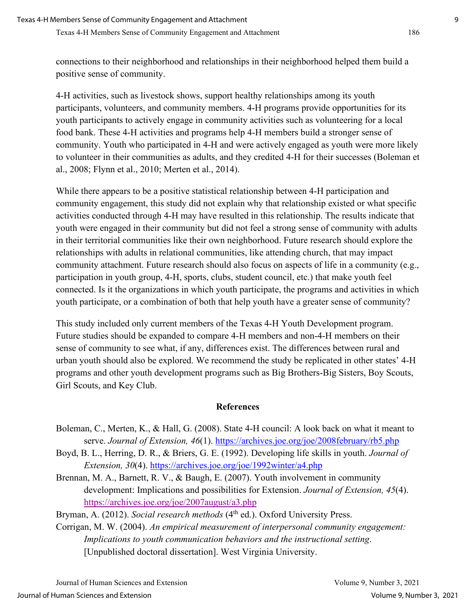connections to their neighborhood and relationships in their neighborhood helped them build a positive sense of community.

4-H activities, such as livestock shows, support healthy relationships among its youth participants, volunteers, and community members. 4-H programs provide opportunities for its youth participants to actively engage in community activities such as volunteering for a local food bank. These 4-H activities and programs help 4-H members build a stronger sense of community. Youth who participated in 4-H and were actively engaged as youth were more likely to volunteer in their communities as adults, and they credited 4-H for their successes (Boleman et al., 2008; Flynn et al., 2010; Merten et al., 2014).

While there appears to be a positive statistical relationship between 4-H participation and community engagement, this study did not explain why that relationship existed or what specific activities conducted through 4-H may have resulted in this relationship. The results indicate that youth were engaged in their community but did not feel a strong sense of community with adults in their territorial communities like their own neighborhood. Future research should explore the relationships with adults in relational communities, like attending church, that may impact community attachment. Future research should also focus on aspects of life in a community (e.g., participation in youth group, 4-H, sports, clubs, student council, etc.) that make youth feel connected. Is it the organizations in which youth participate, the programs and activities in which youth participate, or a combination of both that help youth have a greater sense of community?

This study included only current members of the Texas 4-H Youth Development program. Future studies should be expanded to compare 4-H members and non-4-H members on their sense of community to see what, if any, differences exist. The differences between rural and urban youth should also be explored. We recommend the study be replicated in other states' 4-H programs and other youth development programs such as Big Brothers-Big Sisters, Boy Scouts, Girl Scouts, and Key Club.

## **References**

- Boleman, C., Merten, K., & Hall, G. (2008). State 4-H council: A look back on what it meant to serve. *Journal of Extension, 46*(1).<https://archives.joe.org/joe/2008february/rb5.php>
- Boyd, B. L., Herring, D. R., & Briers, G. E. (1992). Developing life skills in youth. *Journal of Extension, 30*(4).<https://archives.joe.org/joe/1992winter/a4.php>
- Brennan, M. A., Barnett, R. V., & Baugh, E. (2007). Youth involvement in community development: Implications and possibilities for Extension. *Journal of Extension, 45*(4). <https://archives.joe.org/joe/2007august/a3.php>

Bryman, A. (2012). *Social research methods* (4<sup>th</sup> ed.). Oxford University Press.

Corrigan, M. W. (2004). *An empirical measurement of interpersonal community engagement: Implications to youth communication behaviors and the instructional setting*. [Unpublished doctoral dissertation]. West Virginia University.

Journal of Human Sciences and Extension Volume 9, Number 3, 2021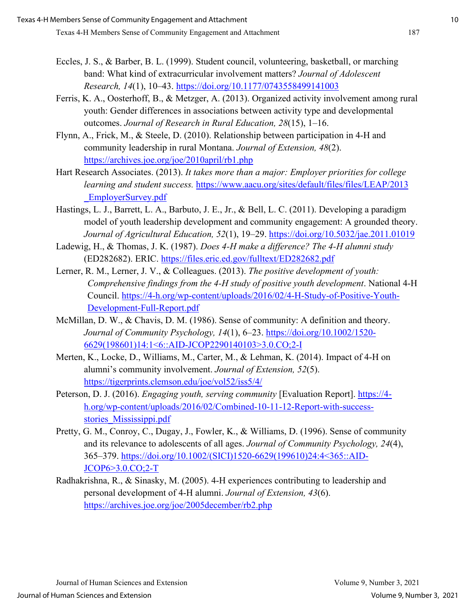- Eccles, J. S., & Barber, B. L. (1999). Student council, volunteering, basketball, or marching band: What kind of extracurricular involvement matters? *Journal of Adolescent Research, 14*(1), 10–43.<https://doi.org/10.1177/0743558499141003>
- Ferris, K. A., Oosterhoff, B., & Metzger, A. (2013). Organized activity involvement among rural youth: Gender differences in associations between activity type and developmental outcomes. *Journal of Research in Rural Education, 28*(15), 1–16.
- Flynn, A., Frick, M., & Steele, D. (2010). Relationship between participation in 4-H and community leadership in rural Montana. *Journal of Extension, 48*(2). <https://archives.joe.org/joe/2010april/rb1.php>
- Hart Research Associates. (2013). *It takes more than a major: Employer priorities for college learning and student success.* [https://www.aacu.org/sites/default/files/files/LEAP/2013](https://www.aacu.org/sites/default/files/files/LEAP/2013_EmployerSurvey.pdf) [\\_EmployerSurvey.pdf](https://www.aacu.org/sites/default/files/files/LEAP/2013_EmployerSurvey.pdf)
- Hastings, L. J., Barrett, L. A., Barbuto, J. E., Jr., & Bell, L. C. (2011). Developing a paradigm model of youth leadership development and community engagement: A grounded theory. *Journal of Agricultural Education, 52*(1), 19–29.<https://doi.org/10.5032/jae.2011.01019>
- Ladewig, H., & Thomas, J. K. (1987). *Does 4-H make a difference? The 4-H alumni study*  (ED282682). ERIC. <https://files.eric.ed.gov/fulltext/ED282682.pdf>
- Lerner, R. M., Lerner, J. V., & Colleagues. (2013). *The positive development of youth: Comprehensive findings from the 4-H study of positive youth development*. National 4-H Council. [https://4-h.org/wp-content/uploads/2016/02/4-H-Study-of-Positive-Youth-](https://4-h.org/wp-content/uploads/2016/02/4-H-Study-of-Positive-Youth-Development-Full-Report.pdf)[Development-Full-Report.pdf](https://4-h.org/wp-content/uploads/2016/02/4-H-Study-of-Positive-Youth-Development-Full-Report.pdf)
- McMillan, D. W., & Chavis, D. M. (1986). Sense of community: A definition and theory. *Journal of Community Psychology, 14*(1), 6–23. [https://doi.org/10.1002/1520-](https://doi.org/10.1002/1520-6629(198601)14:1%3c6::AID-JCOP2290140103%3e3.0.CO;2-I) [6629\(198601\)14:1<6::AID-JCOP2290140103>3.0.CO;2-I](https://doi.org/10.1002/1520-6629(198601)14:1%3c6::AID-JCOP2290140103%3e3.0.CO;2-I)
- Merten, K., Locke, D., Williams, M., Carter, M., & Lehman, K. (2014). Impact of 4-H on alumni's community involvement. *Journal of Extension, 52*(5). <https://tigerprints.clemson.edu/joe/vol52/iss5/4/>
- Peterson, D. J. (2016). *Engaging youth, serving community* [Evaluation Report]. [https://4](https://4-h.org/wp-content/uploads/2016/02/Combined-10-11-12-Report-with-success-stories_Mississippi.pdf) [h.org/wp-content/uploads/2016/02/Combined-10-11-12-Report-with-success](https://4-h.org/wp-content/uploads/2016/02/Combined-10-11-12-Report-with-success-stories_Mississippi.pdf)[stories\\_Mississippi.pdf](https://4-h.org/wp-content/uploads/2016/02/Combined-10-11-12-Report-with-success-stories_Mississippi.pdf)
- Pretty, G. M., Conroy, C., Dugay, J., Fowler, K., & Williams, D. (1996). Sense of community and its relevance to adolescents of all ages. *Journal of Community Psychology, 24*(4), 365–379. [https://doi.org/10.1002/\(SICI\)1520-6629\(199610\)24:4<365::AID-](https://doi.org/10.1002/(SICI)1520-6629(199610)24:4%3c365::AID-JCOP6%3e3.0.CO;2-T)[JCOP6>3.0.CO;2-T](https://doi.org/10.1002/(SICI)1520-6629(199610)24:4%3c365::AID-JCOP6%3e3.0.CO;2-T)
- Radhakrishna, R., & Sinasky, M. (2005). 4-H experiences contributing to leadership and personal development of 4-H alumni. *Journal of Extension, 43*(6). <https://archives.joe.org/joe/2005december/rb2.php>